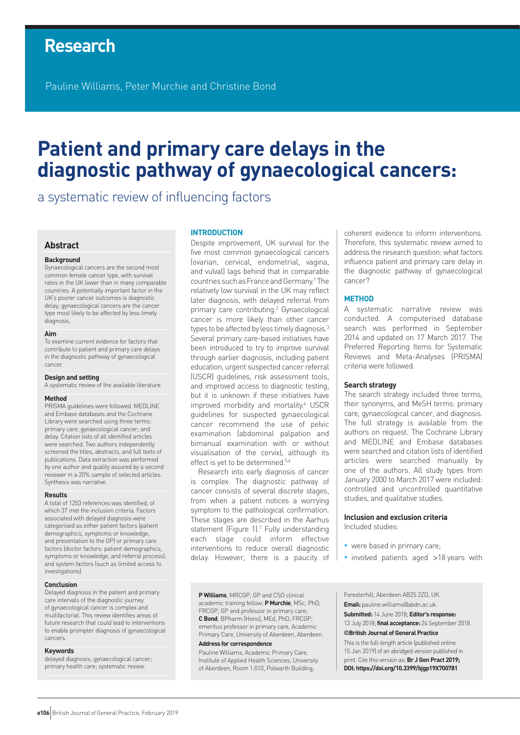# **Research**

Pauline Williams, Peter Murchie and Christine Bond

# **Patient and primary care delays in the diagnostic pathway of gynaecological cancers:**

a systematic review of influencing factors

# **Abstract**

#### **Background**

Gynaecological cancers are the second most common female cancer type, with survival rates in the UK lower than in many comparable countries. A potentially important factor in the UK's poorer cancer outcomes is diagnostic delay; gynaecological cancers are the cancer type most likely to be affected by less timely diagnosis.

#### **Aim**

To examine current evidence for factors that contribute to patient and primary care delays in the diagnostic pathway of gynaecological cancer.

# **Design and setting**

A systematic review of the available literature.

#### **Method**

PRISMA guidelines were followed. MEDLINE and Embase databases and the Cochrane Library were searched using three terms: primary care; gynaecological cancer; and delay. Citation lists of all identified articles were searched. Two authors independently screened the titles, abstracts, and full texts of publications. Data extraction was performed by one author and quality assured by a second reviewer in a 20% sample of selected articles. Synthesis was narrative.

#### **Results**

A total of 1253 references was identified, of which 37 met the inclusion criteria. Factors associated with delayed diagnosis were categorised as either patient factors (patient demographics, symptoms or knowledge, and presentation to the GP) or primary care factors (doctor factors: patient demographics, symptoms or knowledge, and referral process); and system factors (such as limited access to investigations).

#### **Conclusion**

Delayed diagnosis in the patient and primary care intervals of the diagnostic journey of gynaecological cancer is complex and multifactorial. This review identifies areas of future research that could lead to interventions to enable prompter diagnosis of gynaecological cancers.

#### **Keywords**

delayed diagnosis; gynaecological cancer; primary health care; systematic review.

#### **INTRODUCTION**

Despite improvement, UK survival for the five most common gynaecological cancers (ovarian, cervical, endometrial, vagina, and vulval) lags behind that in comparable countries such as France and Germany.1 The relatively low survival in the UK may reflect later diagnosis, with delayed referral from primary care contributing.<sup>2</sup> Gynaecological cancer is more likely than other cancer types to be affected by less timely diagnosis.<sup>3</sup> Several primary care-based initiatives have been introduced to try to improve survival through earlier diagnosis, including patient education, urgent suspected cancer referral (USCR) guidelines, risk assessment tools, and improved access to diagnostic testing, but it is unknown if these initiatives have improved morbidity and mortality.4 USCR guidelines for suspected gynaecological cancer recommend the use of pelvic examination (abdominal palpation and bimanual examination with or without visualisation of the cervix), although its effect is yet to be determined.<sup>5,6</sup>

Research into early diagnosis of cancer is complex. The diagnostic pathway of cancer consists of several discrete stages, from when a patient notices a worrying symptom to the pathological confirmation. These stages are described in the Aarhus statement (Figure 1).<sup>7</sup> Fully understanding each stage could inform effective interventions to reduce overall diagnostic delay. However, there is a paucity of coherent evidence to inform interventions. Therefore, this systematic review aimed to address the research question: what factors influence patient and primary care delay in the diagnostic pathway of gynaecological cancer?

## **METHOD**

A systematic narrative review was conducted. A computerised database search was performed in September 2014 and updated on 17 March 2017. The Preferred Reporting Items for Systematic Reviews and Meta-Analyses (PRISMA) criteria were followed.

#### **Search strategy**

The search strategy included three terms, their synonyms, and MeSH terms: primary care, gynaecological cancer, and diagnosis. The full strategy is available from the authors on request. The Cochrane Library and MEDLINE and Embase databases were searched and citation lists of identified articles were searched manually by one of the authors. All study types from January 2000 to March 2017 were included: controlled and uncontrolled quantitative studies, and qualitative studies.

# **Inclusion and exclusion criteria**

Included studies:

- were based in primary care;
- involved patients aged >18 years with

**P Williams**, MRCGP, GP and CSO clinical academic training fellow; **P Murchie**, MSc, PhD, FRCGP, GP and professor in primary care; **C Bond**, BPharm (Hons), MEd, PhD, FRCGP, emeritus professor in primary care, Academic Primary Care, University of Aberdeen, Aberdeen.

# **Address for correspondence**

Pauline Williams, Academic Primary Care, Institute of Applied Health Sciences, University of Aberdeen, Room 1:010, Polwarth Building,

Foresterhill, Aberdeen AB25 2ZD, UK. **Email:** pauline.williams@abdn.ac.uk **Submitted:** 14 June 2018; **Editor's response:**  13 July 2018; **final acceptance:** 24 September 2018. **©British Journal of General Practice** This is the full-length article (published online 15 Jan 2019) of an abridged version published in print. Cite this version as: **Br J Gen Pract 2019; DOI: https://doi.org/10.3399/bjgp19X700781**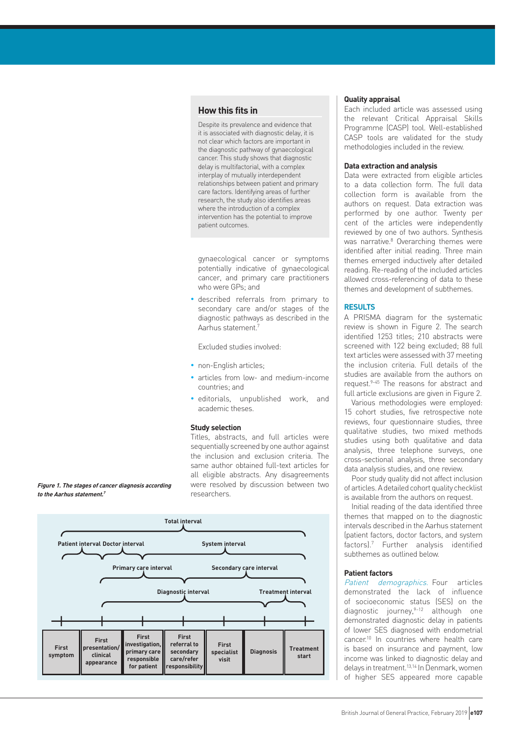# **How this fits in**

Despite its prevalence and evidence that it is associated with diagnostic delay, it is not clear which factors are important in the diagnostic pathway of gynaecological cancer. This study shows that diagnostic delay is multifactorial, with a complex interplay of mutually interdependent relationships between patient and primary care factors. Identifying areas of further research, the study also identifies areas where the introduction of a complex intervention has the potential to improve patient outcomes.

gynaecological cancer or symptoms potentially indicative of gynaecological cancer, and primary care practitioners who were GPs; and

• described referrals from primary to secondary care and/or stages of the diagnostic pathways as described in the Aarhus statement.7

Excluded studies involved:

- non-English articles;
- articles from low- and medium-income countries; and
- editorials, unpublished work, and academic theses.

# **Study selection**

Titles, abstracts, and full articles were sequentially screened by one author against the inclusion and exclusion criteria. The same author obtained full-text articles for all eligible abstracts. Any disagreements were resolved by discussion between two researchers.



**Figure 1. The stages of cancer diagnosis according** 

**to the Aarhus statement.<sup>7</sup>**

#### **Quality appraisal**

Each included article was assessed using the relevant Critical Appraisal Skills Programme (CASP) tool. Well-established CASP tools are validated for the study methodologies included in the review.

## **Data extraction and analysis**

Data were extracted from eligible articles to a data collection form. The full data collection form is available from the authors on request. Data extraction was performed by one author. Twenty per cent of the articles were independently reviewed by one of two authors. Synthesis was narrative.<sup>8</sup> Overarching themes were identified after initial reading. Three main themes emerged inductively after detailed reading. Re-reading of the included articles allowed cross-referencing of data to these themes and development of subthemes.

#### **RESULTS**

A PRISMA diagram for the systematic review is shown in Figure 2. The search identified 1253 titles; 210 abstracts were screened with 122 being excluded; 88 full text articles were assessed with 37 meeting the inclusion criteria. Full details of the studies are available from the authors on request.9–45 The reasons for abstract and full article exclusions are given in Figure 2.

Various methodologies were employed: 15 cohort studies, five retrospective note reviews, four questionnaire studies, three qualitative studies, two mixed methods studies using both qualitative and data analysis, three telephone surveys, one cross-sectional analysis, three secondary data analysis studies, and one review.

Poor study quality did not affect inclusion of articles. A detailed cohort quality checklist is available from the authors on request.

Initial reading of the data identified three themes that mapped on to the diagnostic intervals described in the Aarhus statement (patient factors, doctor factors, and system factors).7 Further analysis identified subthemes as outlined below.

## **Patient factors**

Patient demographics. Four articles demonstrated the lack of influence of socioeconomic status (SES) on the diagnostic journey, 9-12 although one demonstrated diagnostic delay in patients of lower SES diagnosed with endometrial cancer.10 In countries where health care is based on insurance and payment, low income was linked to diagnostic delay and delays in treatment.13,14 In Denmark, women of higher SES appeared more capable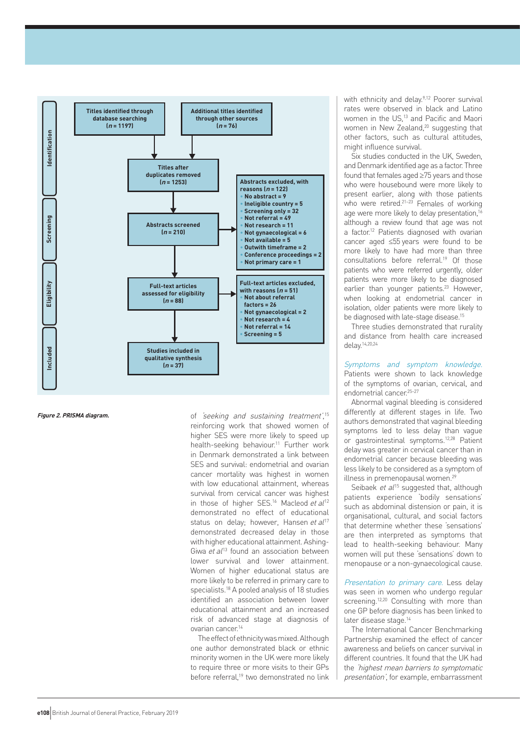

of *'seeking and sustaining treatment*',<sup>15</sup> reinforcing work that showed women of higher SES were more likely to speed up health-seeking behaviour.11 Further work in Denmark demonstrated a link between SES and survival: endometrial and ovarian cancer mortality was highest in women with low educational attainment, whereas survival from cervical cancer was highest in those of higher SES.<sup>16</sup> Macleod et  $al^{12}$ demonstrated no effect of educational status on delay: however. Hansen et al<sup>17</sup> demonstrated decreased delay in those with higher educational attainment. Ashing-Giwa  $et$   $al^{13}$  found an association between lower survival and lower attainment. Women of higher educational status are more likely to be referred in primary care to specialists.18 A pooled analysis of 18 studies identified an association between lower educational attainment and an increased risk of advanced stage at diagnosis of ovarian cancer.14

The effect of ethnicity was mixed. Although one author demonstrated black or ethnic minority women in the UK were more likely to require three or more visits to their GPs before referral,<sup>19</sup> two demonstrated no link

with ethnicity and delay.<sup>9,12</sup> Poorer survival rates were observed in black and Latino women in the US,<sup>13</sup> and Pacific and Maori women in New Zealand,<sup>20</sup> suggesting that other factors, such as cultural attitudes, might influence survival.

Six studies conducted in the UK, Sweden, and Denmark identified age as a factor. Three found that females aged ≥75 years and those who were housebound were more likely to present earlier, along with those patients who were retired.<sup>21-23</sup> Females of working age were more likely to delay presentation,<sup>16</sup> although a review found that age was not a factor.<sup>12</sup> Patients diagnosed with ovarian cancer aged ≤55 years were found to be more likely to have had more than three consultations before referral.<sup>19</sup> Of those patients who were referred urgently, older patients were more likely to be diagnosed earlier than younger patients.<sup>23</sup> However, when looking at endometrial cancer in isolation, older patients were more likely to be diagnosed with late-stage disease.15

Three studies demonstrated that rurality and distance from health care increased delay.14,20,24

Symptoms and symptom knowledge. Patients were shown to lack knowledge of the symptoms of ovarian, cervical, and endometrial cancer.25–27

Abnormal vaginal bleeding is considered differently at different stages in life. Two authors demonstrated that vaginal bleeding symptoms led to less delay than vague or gastrointestinal symptoms.12,28 Patient delay was greater in cervical cancer than in endometrial cancer because bleeding was less likely to be considered as a symptom of illness in premenopausal women.<sup>29</sup>

Seibaek  $et$   $al^{15}$  suggested that, although patients experience 'bodily sensations' such as abdominal distension or pain, it is organisational, cultural, and social factors that determine whether these 'sensations' are then interpreted as symptoms that lead to health-seeking behaviour. Many women will put these 'sensations' down to menopause or a non-gynaecological cause.

Presentation to primary care. Less delay was seen in women who undergo regular screening.<sup>12,20</sup> Consulting with more than one GP before diagnosis has been linked to later disease stage.<sup>14</sup>

The International Cancer Benchmarking Partnership examined the effect of cancer awareness and beliefs on cancer survival in different countries. It found that the UK had the 'highest mean barriers to symptomatic presentation', for example, embarrassment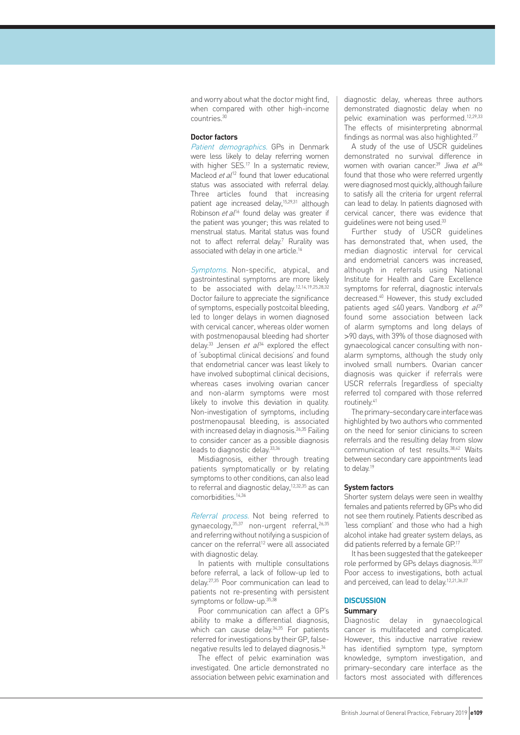and worry about what the doctor might find, when compared with other high-income countries.30

#### **Doctor factors**

Patient demographics. GPs in Denmark were less likely to delay referring women with higher SES.<sup>17</sup> In a systematic review, Macleod  $et$   $al^{12}$  found that lower educational status was associated with referral delay. Three articles found that increasing patient age increased delay.<sup>15,29,31</sup> although Robinson  $et al^{16}$  found delay was greater if the patient was younger; this was related to menstrual status. Marital status was found not to affect referral delay.<sup>7</sup> Rurality was associated with delay in one article.<sup>16</sup>

Symptoms. Non-specific, atypical, and gastrointestinal symptoms are more likely to be associated with delay.12,14,19,25,28,32 Doctor failure to appreciate the significance of symptoms, especially postcoital bleeding, led to longer delays in women diagnosed with cervical cancer, whereas older women with postmenopausal bleeding had shorter delay.<sup>33</sup> Jensen et  $a^{34}$  explored the effect of 'suboptimal clinical decisions' and found that endometrial cancer was least likely to have involved suboptimal clinical decisions, whereas cases involving ovarian cancer and non-alarm symptoms were most likely to involve this deviation in quality. Non-investigation of symptoms, including postmenopausal bleeding, is associated with increased delay in diagnosis.<sup>26,35</sup> Failing to consider cancer as a possible diagnosis leads to diagnostic delay. 33,36

Misdiagnosis, either through treating patients symptomatically or by relating symptoms to other conditions, can also lead to referral and diagnostic delay,<sup>12,32,35</sup> as can comorbidities.14,36

Referral process. Not being referred to gynaecology,35,37 non-urgent referral,26,35 and referring without notifying a suspicion of cancer on the referral<sup>12</sup> were all associated with diagnostic delay.

In patients with multiple consultations before referral, a lack of follow-up led to delay.27,35 Poor communication can lead to patients not re-presenting with persistent symptoms or follow-up.35,38

Poor communication can affect a GP's ability to make a differential diagnosis, which can cause delay.<sup>34,35</sup> For patients referred for investigations by their GP, falsenegative results led to delayed diagnosis.34

The effect of pelvic examination was investigated. One article demonstrated no association between pelvic examination and diagnostic delay, whereas three authors demonstrated diagnostic delay when no pelvic examination was performed.12,29,33 The effects of misinterpreting abnormal findings as normal was also highlighted.27

A study of the use of USCR guidelines demonstrated no survival difference in women with ovarian cancer.<sup>39</sup> Jiwa et  $a^{36}$ found that those who were referred urgently were diagnosed most quickly, although failure to satisfy all the criteria for urgent referral can lead to delay. In patients diagnosed with cervical cancer, there was evidence that guidelines were not being used.<sup>33</sup>

Further study of USCR guidelines has demonstrated that, when used, the median diagnostic interval for cervical and endometrial cancers was increased, although in referrals using National Institute for Health and Care Excellence symptoms for referral, diagnostic intervals decreased.40 However, this study excluded patients aged  $\leq 40$  years. Vandborg *et al*<sup>29</sup> found some association between lack of alarm symptoms and long delays of >90 days, with 39% of those diagnosed with gynaecological cancer consulting with nonalarm symptoms, although the study only involved small numbers. Ovarian cancer diagnosis was quicker if referrals were USCR referrals (regardless of specialty referred to) compared with those referred routinely.41

The primary–secondary care interface was highlighted by two authors who commented on the need for senior clinicians to screen referrals and the resulting delay from slow communication of test results.38,42 Waits between secondary care appointments lead to delay.<sup>19</sup>

## **System factors**

Shorter system delays were seen in wealthy females and patients referred by GPs who did not see them routinely. Patients described as 'less compliant' and those who had a high alcohol intake had greater system delays, as did patients referred by a female GP.17

It has been suggested that the gatekeeper role performed by GPs delays diagnosis.<sup>30,37</sup> Poor access to investigations, both actual and perceived, can lead to delay.<sup>12,21,36,37</sup>

# **DISCUSSION**

# **Summary**

Diagnostic delay in gynaecological cancer is multifaceted and complicated. However, this inductive narrative review has identified symptom type, symptom knowledge, symptom investigation, and primary–secondary care interface as the factors most associated with differences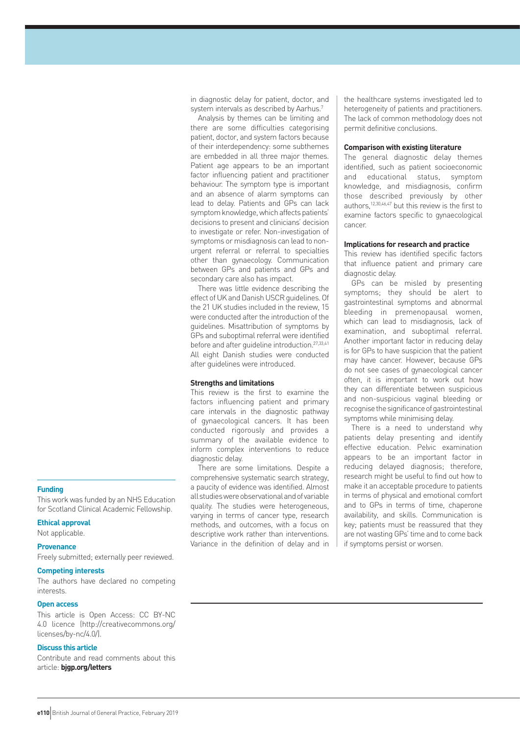in diagnostic delay for patient, doctor, and system intervals as described by Aarhus.7

Analysis by themes can be limiting and there are some difficulties categorising patient, doctor, and system factors because of their interdependency: some subthemes are embedded in all three major themes. Patient age appears to be an important factor influencing patient and practitioner behaviour. The symptom type is important and an absence of alarm symptoms can lead to delay. Patients and GPs can lack symptom knowledge, which affects patients' decisions to present and clinicians' decision to investigate or refer. Non-investigation of symptoms or misdiagnosis can lead to nonurgent referral or referral to specialties other than gynaecology. Communication between GPs and patients and GPs and secondary care also has impact.

There was little evidence describing the effect of UK and Danish USCR guidelines. Of the 21 UK studies included in the review, 15 were conducted after the introduction of the guidelines. Misattribution of symptoms by GPs and suboptimal referral were identified before and after guideline introduction.27,33,41 All eight Danish studies were conducted after guidelines were introduced.

#### **Strengths and limitations**

This review is the first to examine the factors influencing patient and primary care intervals in the diagnostic pathway of gynaecological cancers. It has been conducted rigorously and provides a summary of the available evidence to inform complex interventions to reduce diagnostic delay.

There are some limitations. Despite a comprehensive systematic search strategy, a paucity of evidence was identified. Almost all studies were observational and of variable quality. The studies were heterogeneous, varying in terms of cancer type, research methods, and outcomes, with a focus on descriptive work rather than interventions. Variance in the definition of delay and in the healthcare systems investigated led to heterogeneity of patients and practitioners. The lack of common methodology does not permit definitive conclusions.

# **Comparison with existing literature**

The general diagnostic delay themes identified, such as patient socioeconomic and educational status, symptom knowledge, and misdiagnosis, confirm those described previously by other authors,12,30,46,47 but this review is the first to examine factors specific to gynaecological cancer.

### **Implications for research and practice**

This review has identified specific factors that influence patient and primary care diagnostic delay.

GPs can be misled by presenting symptoms; they should be alert to gastrointestinal symptoms and abnormal bleeding in premenopausal women, which can lead to misdiagnosis, lack of examination, and suboptimal referral. Another important factor in reducing delay is for GPs to have suspicion that the patient may have cancer. However, because GPs do not see cases of gynaecological cancer often, it is important to work out how they can differentiate between suspicious and non-suspicious vaginal bleeding or recognise the significance of gastrointestinal symptoms while minimising delay.

There is a need to understand why patients delay presenting and identify effective education. Pelvic examination appears to be an important factor in reducing delayed diagnosis; therefore, research might be useful to find out how to make it an acceptable procedure to patients in terms of physical and emotional comfort and to GPs in terms of time, chaperone availability, and skills. Communication is key; patients must be reassured that they are not wasting GPs' time and to come back if symptoms persist or worsen.

#### **Funding**

This work was funded by an NHS Education for Scotland Clinical Academic Fellowship.

#### **Ethical approval**

Not applicable.

#### **Provenance**

Freely submitted; externally peer reviewed.

#### **Competing interests**

The authors have declared no competing interests.

### **Open access**

This article is Open Access: CC BY-NC 4.0 licence (http://creativecommons.org/ licenses/by-nc/4.0/).

# **Discuss this article**

Contribute and read comments about this article: **bjgp.org/letters**